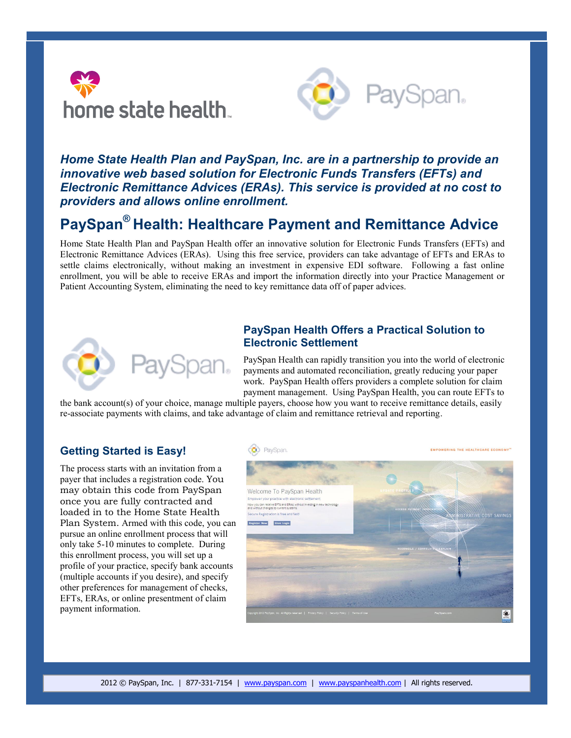



# *Home State Health Plan and PaySpan, Inc. are in a partnership to provide an innovative web based solution for Electronic Funds Transfers (EFTs) and Electronic Remittance Advices (ERAs). This service is provided at no cost to providers and allows online enrollment.*

# **PaySpan® Health: Healthcare Payment and Remittance Advice**

Home State Health Plan and PaySpan Health offer an innovative solution for Electronic Funds Transfers (EFTs) and Electronic Remittance Advices (ERAs). Using this free service, providers can take advantage of EFTs and ERAs to settle claims electronically, without making an investment in expensive EDI software. Following a fast online enrollment, you will be able to receive ERAs and import the information directly into your Practice Management or Patient Accounting System, eliminating the need to key remittance data off of paper advices.



## **PaySpan Health Offers a Practical Solution to Electronic Settlement**

PaySpan Health can rapidly transition you into the world of electronic payments and automated reconciliation, greatly reducing your paper work. PaySpan Health offers providers a complete solution for claim payment management. Using PaySpan Health, you can route EFTs to

the bank account(s) of your choice, manage multiple payers, choose how you want to receive remittance details, easily re-associate payments with claims, and take advantage of claim and remittance retrieval and reporting.

### **Getting Started is Easy!**

The process starts with an invitation from a payer that includes a registration code. You may obtain this code from PaySpan once you are fully contracted and loaded in to the Home State Health Plan System. Armed with this code, you can pursue an online enrollment process that will only take 5-10 minutes to complete. During this enrollment process, you will set up a profile of your practice, specify bank accounts (multiple accounts if you desire), and specify other preferences for management of checks, EFTs, ERAs, or online presentment of claim payment information.